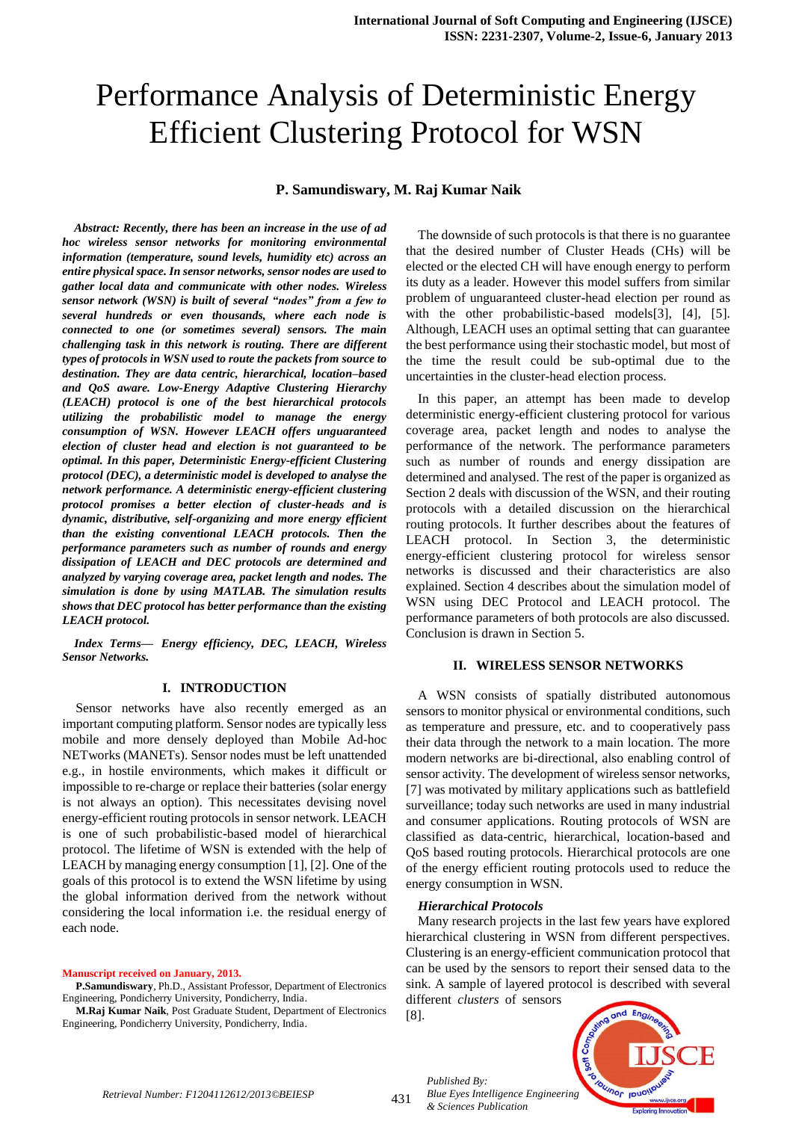# Performance Analysis of Deterministic Energy Efficient Clustering Protocol for WSN

# **P. Samundiswary, M. Raj Kumar Naik**

*Abstract: Recently, there has been an increase in the use of ad hoc wireless sensor networks for monitoring environmental information (temperature, sound levels, humidity etc) across an entire physical space. In sensor networks, sensor nodes are used to gather local data and communicate with other nodes. Wireless sensor network (WSN) is built of several "nodes" from a few to several hundreds or even thousands, where each node is connected to one (or sometimes several) sensors. The main challenging task in this network is routing. There are different types of protocols in WSN used to route the packets from source to destination. They are data centric, hierarchical, location–based and QoS aware. Low-Energy Adaptive Clustering Hierarchy (LEACH) protocol is one of the best hierarchical protocols utilizing the probabilistic model to manage the energy consumption of WSN. However LEACH offers unguaranteed election of cluster head and election is not guaranteed to be optimal. In this paper, Deterministic Energy-efficient Clustering protocol (DEC), a deterministic model is developed to analyse the network performance. A deterministic energy-efficient clustering protocol promises a better election of cluster-heads and is dynamic, distributive, self-organizing and more energy efficient than the existing conventional LEACH protocols. Then the performance parameters such as number of rounds and energy dissipation of LEACH and DEC protocols are determined and analyzed by varying coverage area, packet length and nodes. The simulation is done by using MATLAB. The simulation results shows that DEC protocol has better performance than the existing LEACH protocol.*

*Index Terms— Energy efficiency, DEC, LEACH, Wireless Sensor Networks.*

#### **I. INTRODUCTION**

Sensor networks have also recently emerged as an important computing platform. Sensor nodes are typically less mobile and more densely deployed than Mobile Ad-hoc NETworks (MANETs). Sensor nodes must be left unattended e.g., in hostile environments, which makes it difficult or impossible to re-charge or replace their batteries (solar energy is not always an option). This necessitates devising novel energy-efficient routing protocols in sensor network. LEACH is one of such probabilistic-based model of hierarchical protocol. The lifetime of WSN is extended with the help of LEACH by managing energy consumption [1], [2]. One of the goals of this protocol is to extend the WSN lifetime by using the global information derived from the network without considering the local information i.e. the residual energy of each node.

**Manuscript received on January, 2013.**

**P.Samundiswary**, Ph.D., Assistant Professor, Department of Electronics Engineering, Pondicherry University, Pondicherry, India.

**M.Raj Kumar Naik**, Post Graduate Student, Department of Electronics Engineering, Pondicherry University, Pondicherry, India.

The downside of such protocols is that there is no guarantee that the desired number of Cluster Heads (CHs) will be elected or the elected CH will have enough energy to perform its duty as a leader. However this model suffers from similar problem of unguaranteed cluster-head election per round as with the other probabilistic-based models[3], [4], [5]. Although, LEACH uses an optimal setting that can guarantee the best performance using their stochastic model, but most of the time the result could be sub-optimal due to the uncertainties in the cluster-head election process.

In this paper, an attempt has been made to develop deterministic energy-efficient clustering protocol for various coverage area, packet length and nodes to analyse the performance of the network. The performance parameters such as number of rounds and energy dissipation are determined and analysed. The rest of the paper is organized as Section 2 deals with discussion of the WSN, and their routing protocols with a detailed discussion on the hierarchical routing protocols. It further describes about the features of LEACH protocol. In Section 3, the deterministic energy-efficient clustering protocol for wireless sensor networks is discussed and their characteristics are also explained. Section 4 describes about the simulation model of WSN using DEC Protocol and LEACH protocol. The performance parameters of both protocols are also discussed. Conclusion is drawn in Section 5.

# **II. WIRELESS SENSOR NETWORKS**

A WSN consists of spatially distributed [autonomous](http://en.wikipedia.org/wiki/Autonomous) [sensors](http://en.wikipedia.org/wiki/Sensor) to monitor physical or environmental conditions, such as [temperature](http://en.wikipedia.org/wiki/Temperature) and [pressure,](http://en.wikipedia.org/wiki/Pressure) etc. and to cooperatively pass their data through the network to a main location. The more modern networks are bi-directional, also enabling control of sensor activity. The development of wireless sensor networks, [7] was motivated by military applications such as battlefield surveillance; today such networks are used in many industrial and consumer applications. Routing protocols of WSN are classified as data-centric, hierarchical, location-based and QoS based routing protocols. Hierarchical protocols are one of the energy efficient routing protocols used to reduce the energy consumption in WSN.

#### *Hierarchical Protocols*

Many research projects in the last few years have explored hierarchical clustering in WSN from different perspectives. Clustering is an energy-efficient communication protocol that can be used by the sensors to report their sensed data to the sink. A sample of layered protocol is described with several different *clusters* of sensors

[8].

*Published By:*

*& Sciences Publication* 



431 *Retrieval Number: F1204112612/2013©BEIESP*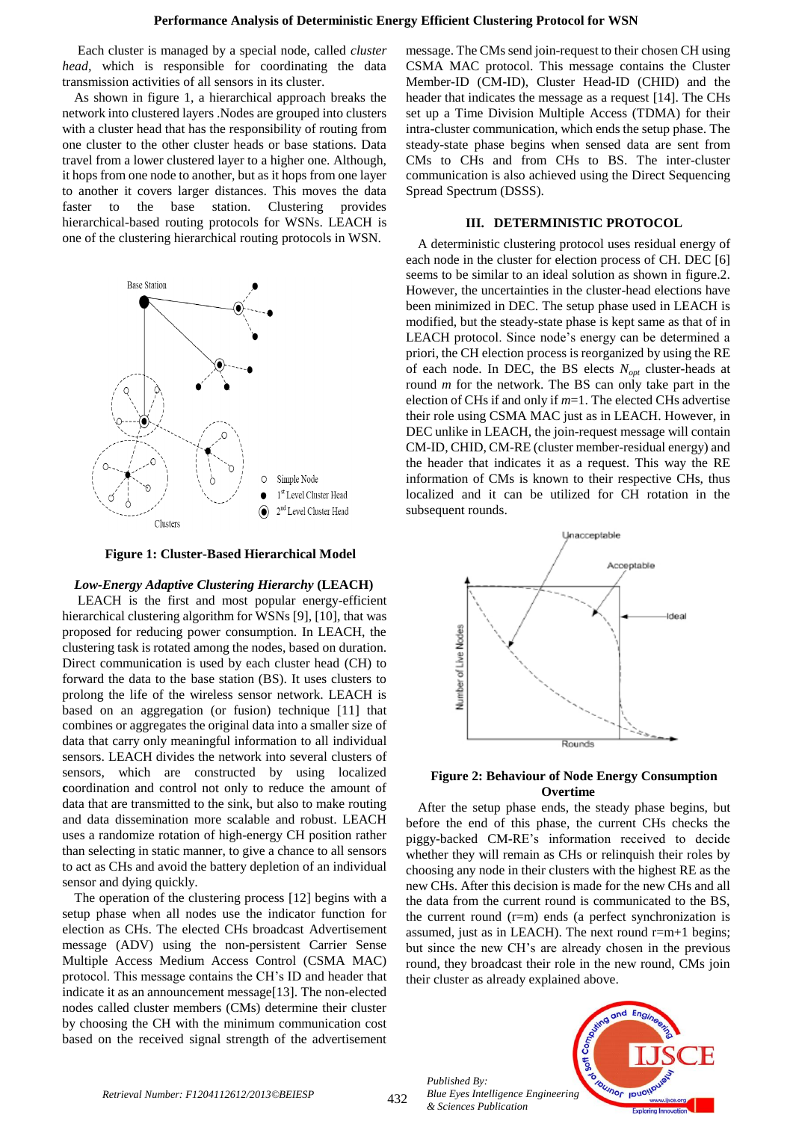Each cluster is managed by a special node, called *cluster head,* which is responsible for coordinating the data transmission activities of all sensors in its cluster.

As shown in figure 1, a hierarchical approach breaks the network into clustered layers .Nodes are grouped into clusters with a cluster head that has the responsibility of routing from one cluster to the other cluster heads or base stations. Data travel from a lower clustered layer to a higher one. Although, it hops from one node to another, but as it hops from one layer to another it covers larger distances. This moves the data faster to the base station. Clustering provides hierarchical-based routing protocols for WSNs. LEACH is one of the clustering hierarchical routing protocols in WSN.



**Figure 1: Cluster-Based Hierarchical Model**

#### *Low-Energy Adaptive Clustering Hierarchy* **(LEACH)**

LEACH is the first and most popular energy-efficient hierarchical clustering algorithm for WSNs [9], [10], that was proposed for reducing power consumption. In LEACH, the clustering task is rotated among the nodes, based on duration. Direct communication is used by each cluster head (CH) to forward the data to the base station (BS). It uses clusters to prolong the life of the wireless sensor network. LEACH is based on an aggregation (or fusion) technique [11] that combines or aggregates the original data into a smaller size of data that carry only meaningful information to all individual sensors. LEACH divides the network into several clusters of sensors, which are constructed by using localized **c**oordination and control not only to reduce the amount of data that are transmitted to the sink, but also to make routing and data dissemination more scalable and robust. LEACH uses a randomize rotation of high-energy CH position rather than selecting in static manner, to give a chance to all sensors to act as CHs and avoid the battery depletion of an individual sensor and dying quickly.

The operation of the clustering process [12] begins with a setup phase when all nodes use the indicator function for election as CHs. The elected CHs broadcast Advertisement message (ADV) using the non-persistent Carrier Sense Multiple Access Medium Access Control (CSMA MAC) protocol. This message contains the CH's ID and header that indicate it as an announcement message[13]. The non-elected nodes called cluster members (CMs) determine their cluster by choosing the CH with the minimum communication cost based on the received signal strength of the advertisement

message. The CMs send join-request to their chosen CH using CSMA MAC protocol. This message contains the Cluster Member-ID (CM-ID), Cluster Head-ID (CHID) and the header that indicates the message as a request [14]. The CHs set up a Time Division Multiple Access (TDMA) for their intra-cluster communication, which ends the setup phase. The steady-state phase begins when sensed data are sent from CMs to CHs and from CHs to BS. The inter-cluster communication is also achieved using the Direct Sequencing Spread Spectrum (DSSS).

# **III. DETERMINISTIC PROTOCOL**

A deterministic clustering protocol uses residual energy of each node in the cluster for election process of CH. DEC [6] seems to be similar to an ideal solution as shown in figure.2. However, the uncertainties in the cluster-head elections have been minimized in DEC. The setup phase used in LEACH is modified, but the steady-state phase is kept same as that of in LEACH protocol. Since node's energy can be determined a priori, the CH election process is reorganized by using the RE of each node. In DEC, the BS elects *Nopt* cluster-heads at round *m* for the network. The BS can only take part in the election of CHs if and only if *m*=1. The elected CHs advertise their role using CSMA MAC just as in LEACH. However, in DEC unlike in LEACH, the join-request message will contain CM-ID, CHID, CM-RE (cluster member-residual energy) and the header that indicates it as a request. This way the RE information of CMs is known to their respective CHs, thus localized and it can be utilized for CH rotation in the subsequent rounds.



## **Figure 2: Behaviour of Node Energy Consumption Overtime**

After the setup phase ends, the steady phase begins, but before the end of this phase, the current CHs checks the piggy-backed CM-RE's information received to decide whether they will remain as CHs or relinquish their roles by choosing any node in their clusters with the highest RE as the new CHs. After this decision is made for the new CHs and all the data from the current round is communicated to the BS, the current round (r=m) ends (a perfect synchronization is assumed, just as in LEACH). The next round  $r=m+1$  begins; but since the new CH's are already chosen in the previous round, they broadcast their role in the new round, CMs join their cluster as already explained above.

*Published By: Blue Eyes Intelligence Engineering & Sciences Publication* 

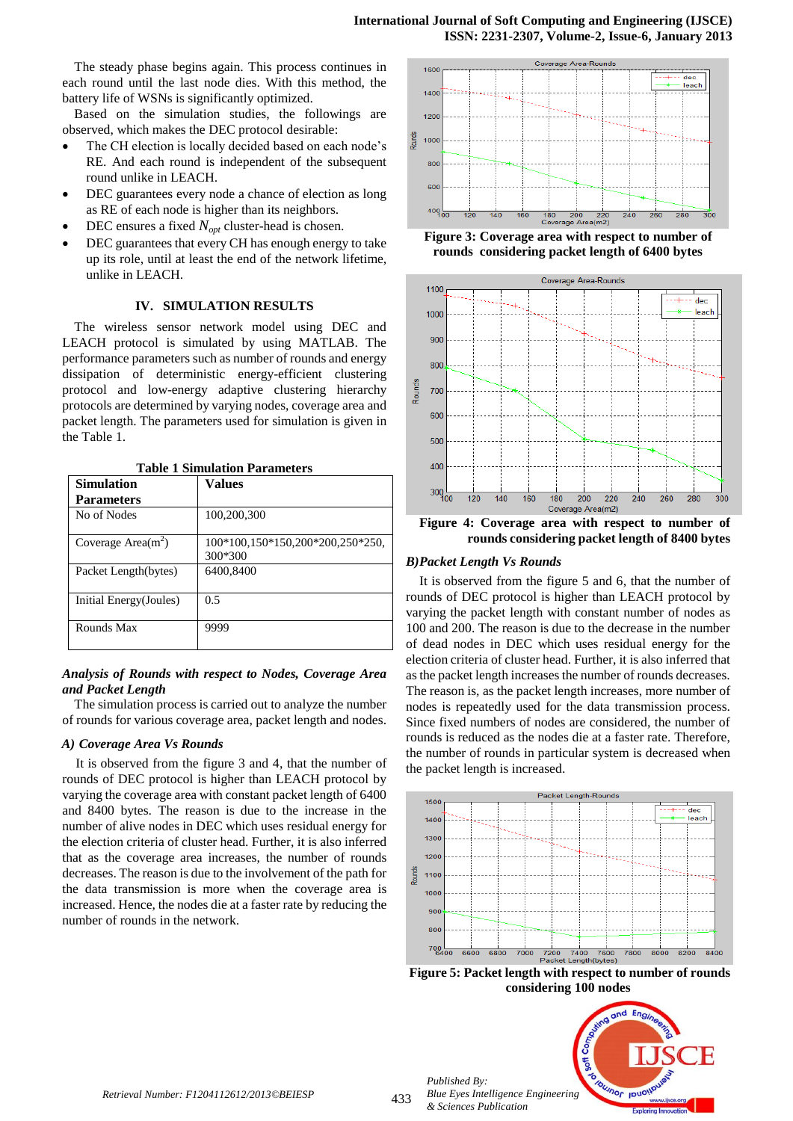The steady phase begins again. This process continues in each round until the last node dies. With this method, the battery life of WSNs is significantly optimized.

Based on the simulation studies, the followings are observed, which makes the DEC protocol desirable:

- The CH election is locally decided based on each node's RE. And each round is independent of the subsequent round unlike in LEACH.
- DEC guarantees every node a chance of election as long as RE of each node is higher than its neighbors.
- DEC ensures a fixed *Nopt* cluster-head is chosen.
- DEC guarantees that every CH has enough energy to take up its role, until at least the end of the network lifetime, unlike in LEACH.

## **IV. SIMULATION RESULTS**

The wireless sensor network model using DEC and LEACH protocol is simulated by using MATLAB. The performance parameters such as number of rounds and energy dissipation of deterministic energy-efficient clustering protocol and low-energy adaptive clustering hierarchy protocols are determined by varying nodes, coverage area and packet length. The parameters used for simulation is given in the Table 1.

| <b>Simulation</b>       | Values                                      |
|-------------------------|---------------------------------------------|
| <b>Parameters</b>       |                                             |
| No of Nodes             | 100,200,300                                 |
| Coverage Area $(m^2)$   | 100*100,150*150,200*200,250*250,<br>300*300 |
| Packet Length(bytes)    | 6400,8400                                   |
| Initial Energy (Joules) | 0.5                                         |
| Rounds Max              | 9999                                        |

**Table 1 Simulation Parameters**

# *Analysis of Rounds with respect to Nodes, Coverage Area and Packet Length*

The simulation process is carried out to analyze the number of rounds for various coverage area, packet length and nodes.

#### *A) Coverage Area Vs Rounds*

It is observed from the figure 3 and 4, that the number of rounds of DEC protocol is higher than LEACH protocol by varying the coverage area with constant packet length of 6400 and 8400 bytes. The reason is due to the increase in the number of alive nodes in DEC which uses residual energy for the election criteria of cluster head. Further, it is also inferred that as the coverage area increases, the number of rounds decreases. The reason is due to the involvement of the path for the data transmission is more when the coverage area is increased. Hence, the nodes die at a faster rate by reducing the number of rounds in the network.



**Figure 3: Coverage area with respect to number of rounds considering packet length of 6400 bytes**



**Figure 4: Coverage area with respect to number of rounds considering packet length of 8400 bytes**

## *B)Packet Length Vs Rounds*

It is observed from the figure 5 and 6, that the number of rounds of DEC protocol is higher than LEACH protocol by varying the packet length with constant number of nodes as 100 and 200. The reason is due to the decrease in the number of dead nodes in DEC which uses residual energy for the election criteria of cluster head. Further, it is also inferred that as the packet length increases the number of rounds decreases. The reason is, as the packet length increases, more number of nodes is repeatedly used for the data transmission process. Since fixed numbers of nodes are considered, the number of rounds is reduced as the nodes die at a faster rate. Therefore, the number of rounds in particular system is decreased when the packet length is increased.



**Figure 5: Packet length with respect to number of rounds considering 100 nodes**

unor

*Published By: Blue Eyes Intelligence Engineering & Sciences Publication*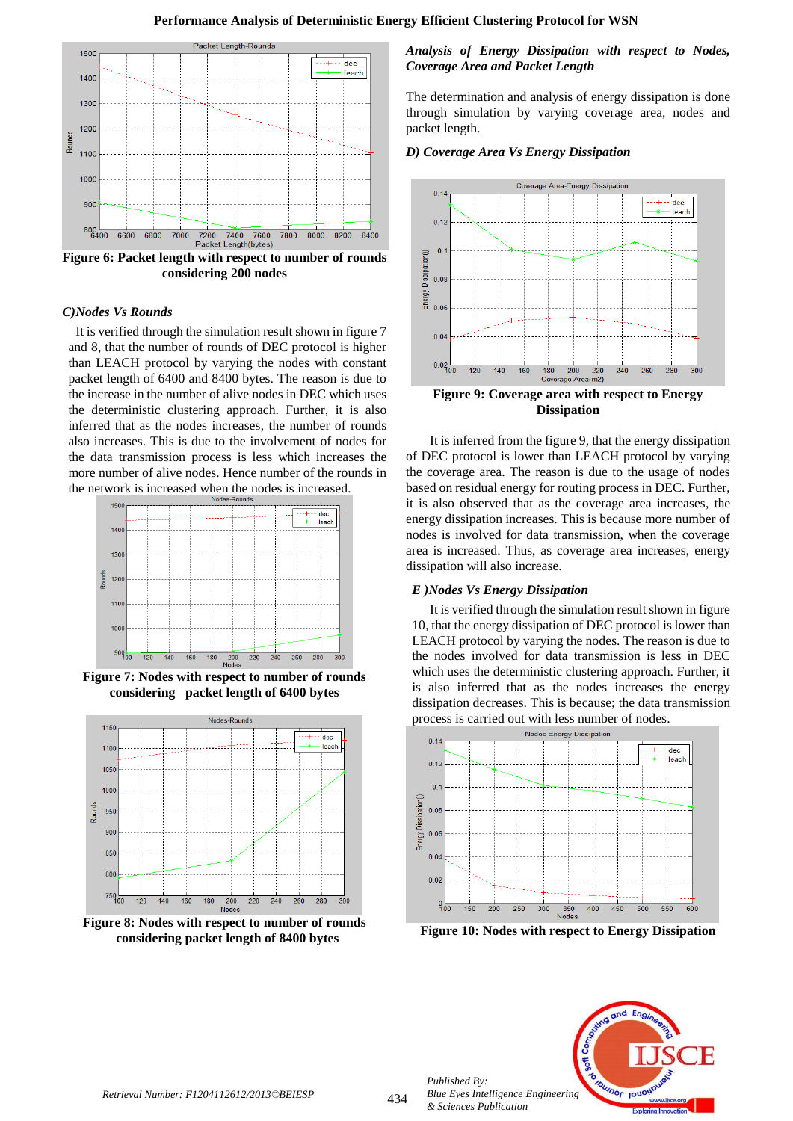

**Figure 6: Packet length with respect to number of rounds considering 200 nodes**

## *C)Nodes Vs Rounds*

It is verified through the simulation result shown in figure 7 and 8, that the number of rounds of DEC protocol is higher than LEACH protocol by varying the nodes with constant packet length of 6400 and 8400 bytes. The reason is due to the increase in the number of alive nodes in DEC which uses the deterministic clustering approach. Further, it is also inferred that as the nodes increases, the number of rounds also increases. This is due to the involvement of nodes for the data transmission process is less which increases the more number of alive nodes. Hence number of the rounds in the network is increased when the nodes is increased.



**Figure 7: Nodes with respect to number of rounds considering packet length of 6400 bytes**



**Figure 8: Nodes with respect to number of rounds considering packet length of 8400 bytes**

## *Analysis of Energy Dissipation with respect to Nodes, Coverage Area and Packet Length*

The determination and analysis of energy dissipation is done through simulation by varying coverage area, nodes and packet length.

## *D) Coverage Area Vs Energy Dissipation*



**Dissipation**

It is inferred from the figure 9, that the energy dissipation of DEC protocol is lower than LEACH protocol by varying the coverage area. The reason is due to the usage of nodes based on residual energy for routing process in DEC. Further, it is also observed that as the coverage area increases, the energy dissipation increases. This is because more number of nodes is involved for data transmission, when the coverage area is increased. Thus, as coverage area increases, energy dissipation will also increase.

## *E )Nodes Vs Energy Dissipation*

It is verified through the simulation result shown in figure 10, that the energy dissipation of DEC protocol is lower than LEACH protocol by varying the nodes. The reason is due to the nodes involved for data transmission is less in DEC which uses the deterministic clustering approach. Further, it is also inferred that as the nodes increases the energy dissipation decreases. This is because; the data transmission process is carried out with less number of nodes.



**Figure 10: Nodes with respect to Energy Dissipation**



*Published By:*

*& Sciences Publication*